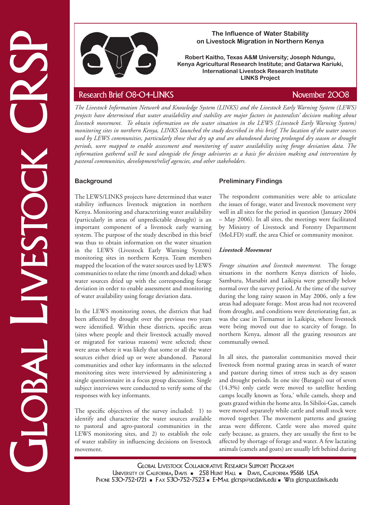

### **The Influence of Water Stability on Livestock Migration in Northern Kenya**

**Robert Kaitho, Texas A&M University; Joseph Ndungu, Kenya Agricultural Research Institute; and Gatarwa Kariuki, International Livestock Research Institute LINKS Project**

The influence of Water Stability and the stress can be a stability to the stress and the stress and the stress and the stress and the stress and the stress and the stress and the stress and the stress and the stress and th *The Livestock Information Network and Knowledge System (LINKS) and the Livestock Early Warning System (LEWS) projects have determined that water availability and stability are major factors in pastoralists' decision making about livestock movement. To obtain information on the water situation in the LEWS (Livestock Early Warning System) monitoring sites in northern Kenya, LINKS launched the study described in this brief. The location of the water sources used by LEWS communities, particularly those that dry up and are abandoned during prolonged dry season or drought periods, were mapped to enable assessment and monitoring of water availability using forage deviation data. The information gathered will be used alongside the forage advisories as a basis for decision making and intervention by pastoral communities, development/relief agencies, and other stakeholders.*

# **Background**

The LEWS/LINKS projects have determined that water stability influences livestock migration in northern Kenya. Monitoring and characterizing water availability (particularly in areas of unpredictable drought) is an important component of a livestock early warning system. The purpose of the study described in this brief was thus to obtain information on the water situation in the LEWS (Livestock Early Warning System) monitoring sites in northern Kenya. Team members mapped the location of the water sources used by LEWS communities to relate the time (month and dekad) when water sources dried up with the corresponding forage deviation in order to enable assessment and monitoring of water availability using forage deviation data.

In the LEWS monitoring zones, the districts that had been affected by drought over the previous two years were identified. Within these districts, specific areas (sites where people and their livestock actually moved or migrated for various reasons) were selected; these were areas where it was likely that some or all the water sources either dried up or were abandoned. Pastoral communities and other key informants in the selected monitoring sites were interviewed by administering a single questionnaire in a focus group discussion. Single subject interviews were conducted to verify some of the responses with key informants.

The specific objectives of the survey included: 1) to identify and characterize the water sources available to pastoral and agro-pastoral communities in the LEWS monitoring sites, and 2) to establish the role of water stability in influencing decisions on livestock movement.

## **Preliminary Findings**

The respondent communities were able to articulate the issues of forage, water and livestock movement very well in all sites for the period in question (January 2004 – May 2006). In all sites, the meetings were facilitated by Ministry of Livestock and Forestry Department (MoLFD) staff, the area Chief or community monitor.

### *Livestock Movement*

*Forage situation and livestock movement.* The forage situations in the northern Kenya districts of Isiolo, Samburu, Marsabit and Laikipia were generally below normal over the survey period. At the time of the survey during the long rainy season in May 2006, only a few areas had adequate forage. Most areas had not recovered from drought, and conditions were deteriorating fast, as was the case in Tiemamut in Laikipia, where livestock were being moved out due to scarcity of forage. In northern Kenya, almost all the grazing resources are communally owned.

In all sites, the pastoralist communities moved their livestock from normal grazing areas in search of water and pasture during times of stress such as dry season and drought periods. In one site (Baragoi) out of seven (14.3%) only cattle were moved to satellite herding camps locally known as 'fora,' while camels, sheep and goats grazed within the home area. In Sibiloi-Gas, camels were moved separately while cattle and small stock were moved together. The movement patterns and grazing areas were different. Cattle were also moved quite early because, as grazers, they are usually the first to be affected by shortage of forage and water. A few lactating animals (camels and goats) are usually left behind during

Global Livestock Collaborative Research Support Program UNIVERSITY OF CALIFORNIA, DAVIS - 258 HUNT HALL - DAVIS, CALIFORNIA 95616 USA PHONE 530-752-1721 • FAX 530-752-7523 • E-MAIL glcrsp@ucdavis.edu • WEB glcrsp.ucdavis.edu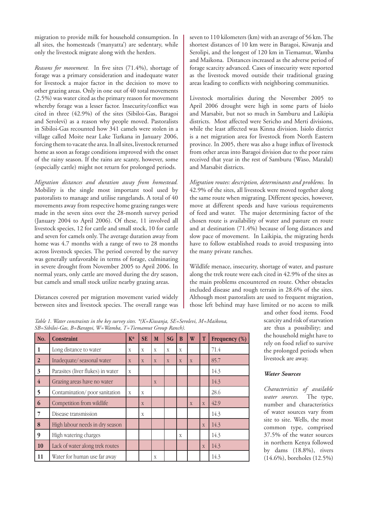migration to provide milk for household consumption. In all sites, the homesteads ('manyatta') are sedentary, while only the livestock migrate along with the herders.

*Reasons for movement.* In five sites (71.4%), shortage of forage was a primary consideration and inadequate water for livestock a major factor in the decision to move to other grazing areas. Only in one out of 40 total movements (2.5%) was water cited as the primary reason for movement whereby forage was a lesser factor. Insecurity/conflict was cited in three (42.9%) of the sites (Sibiloi-Gas, Baragoi and Serolevi) as a reason why people moved. Pastoralists in Sibiloi-Gas recounted how 341 camels were stolen in a village called Moite near Lake Turkana in January 2006, forcing them to vacate the area. In all sites, livestock returned home as soon as forage conditions improved with the onset of the rainy season. If the rains are scanty, however, some (especially cattle) might not return for prolonged periods.

*Migration distances and duration away from homestead.*  Mobility is the single most important tool used by pastoralists to manage and utilise rangelands. A total of 40 movements away from respective home grazing ranges were made in the seven sites over the 28-month survey period (January 2004 to April 2006). Of these, 11 involved all livestock species, 12 for cattle and small stock, 10 for cattle and seven for camels only. The average duration away from home was 4.7 months with a range of two to 28 months across livestock species. The period covered by the survey was generally unfavorable in terms of forage, culminating in severe drought from November 2005 to April 2006. In normal years, only cattle are moved during the dry season, but camels and small stock utilize nearby grazing areas.

Distances covered per migration movement varied widely between sites and livestock species. The overall range was seven to 110 kilometers (km) with an average of 56 km. The shortest distances of 10 km were in Baragoi, Kiwanja and Serolipi, and the longest of 120 km in Tiemamut, Wamba and Maikona. Distances increased as the adverse period of forage scarcity advanced. Cases of insecurity were reported as the livestock moved outside their traditional grazing areas leading to conflicts with neighboring communities.

Livestock mortalities during the November 2005 to April 2006 drought were high in some parts of Isiolo and Marsabit, but not so much in Samburu and Laikipia districts. Most affected were Sericho and Merti divisions, while the least affected was Kinna division. Isiolo district is a net migration area for livestock from North Eastern province. In 2005, there was also a huge influx of livestock from other areas into Baragoi division due to the poor rains received that year in the rest of Samburu (Waso, Maralal) and Marsabit districts.

*Migration routes: description, determinants and problems.* In 42.9% of the sites, all livestock were moved together along the same route when migrating. Different species, however, move at different speeds and have various requirements of feed and water. The major determining factor of the chosen route is availability of water and pasture en route and at destination (71.4%) because of long distances and slow pace of movement. In Laikipia, the migrating herds have to follow established roads to avoid trespassing into the many private ranches.

Wildlife menace, insecurity, shortage of water, and pasture along the trek route were each cited in 42.9% of the sites as the main problems encountered en route. Other obstacles included disease and rough terrain in 28.6% of the sites. Although most pastoralists are used to frequent migration, those left behind may have limited or no access to milk

*Table 1. Water constraints in the key survey sites. \*(K=Kiwanja, SE=Serolevi, M=Maikona, SB=Sibiloi-Gas, B=Baragoi, W=Wamba, T=Tiemamut Group Ranch).*

| No.              | <b>Constraint</b>                 | $K^*$        | <b>SE</b>      | M            | SG             | B            | W              | T              | Frequency (%) |  |
|------------------|-----------------------------------|--------------|----------------|--------------|----------------|--------------|----------------|----------------|---------------|--|
| $\mathbf{1}$     | Long distance to water            | X            | $\mathbf{X}$   | X            | X              | $\mathbf{X}$ |                |                | 71.4          |  |
| $\overline{2}$   | Inadequate/seasonal water         | $\mathbf{X}$ | $\overline{X}$ | $\mathbf{X}$ | $\overline{X}$ | $\mathbf{X}$ | $\overline{X}$ |                | 85.7          |  |
| $\overline{3}$   | Parasites (liver flukes) in water | X            |                |              |                |              |                |                | 14.3          |  |
| $\overline{4}$   | Grazing areas have no water       |              |                | X            |                |              |                |                | 14.3          |  |
| 5                | Contamination/poor sanitation     | X            | X              |              |                |              |                |                | 28.6          |  |
| 6                | Competition from wildlife         |              | $\overline{X}$ |              |                |              | $\overline{X}$ | $\overline{X}$ | 42.9          |  |
|                  | Disease transmission              |              | X              |              |                |              |                |                | 14.3          |  |
| 8                | High labour needs in dry season   |              |                |              |                |              |                | $\overline{X}$ | 14.3          |  |
| $\boldsymbol{9}$ | High watering charges             |              |                |              |                | X            |                |                | 14.3          |  |
| <b>10</b>        | Lack of water along trek routes   |              |                |              |                |              |                | $\overline{X}$ | 14.3          |  |
| 11               | Water for human use far away      |              |                | X            |                |              |                |                | 14.3          |  |

and other food items. Food scarcity and risk of starvation are thus a possibility; and the household might have to rely on food relief to survive the prolonged periods when livestock are away.

#### *Water Sources*

*Characteristics of available water sources.* The type, number and characteristics of water sources vary from site to site. Wells, the most common type, comprised 37.5% of the water sources in northern Kenya followed by dams (18.8%), rivers (14.6%), boreholes (12.5%)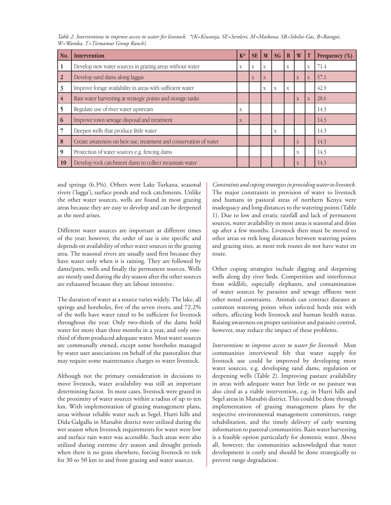| No.            | <b>Intervention</b>                                               | $K^*$ | <b>SE</b> | M | SG | <sub>B</sub> | W              | T | <b>Frequency</b> (%) |
|----------------|-------------------------------------------------------------------|-------|-----------|---|----|--------------|----------------|---|----------------------|
|                | Develop new water sources in grazing areas without water          | X     | X         | X |    | X            |                | X | 71.4                 |
| $\overline{2}$ | Develop sand dams along laggas                                    |       | X         | X |    |              | $\overline{X}$ | X | 57.1                 |
| 3              | Improve forage availability in areas with sufficient water        |       |           | X | X  | X            |                |   | 42.9                 |
| $\overline{4}$ | Rain water harvesting at strategic points and storage tanks       |       |           |   |    |              | X              | X | 28.6                 |
|                | Regulate use of river water upstream                              | X     |           |   |    |              |                |   | 14.3                 |
| 6              | Improve town sewage disposal and treatment                        | X     |           |   |    |              |                |   | 14.3                 |
|                | Deepen wells that produce little water                            |       |           |   | X  |              |                |   | 14.3                 |
| 8              | Create awareness on best use, treatment and conservation of water |       |           |   |    |              | $\overline{X}$ |   | 14.3                 |
| 9              | Protection of water sources e.g. fencing dams                     |       |           |   |    |              | X              |   | 14.3                 |
| <b>10</b>      | Develop rock catchment dams to collect mountain water             |       |           |   |    |              | X              |   | 14.3                 |

*Table 2. Interventions to improve access to water for livestock. \*(K=Kiwanja, SE=Serolevi, M=Maikona, SB=Sibiloi-Gas, B=Baragoi, W=Wamba, T=Tiemamut Group Ranch).*

and springs (6.3%). Others were Lake Turkana, seasonal rivers ('lagga'), surface ponds and rock catchments. Unlike the other water sources, wells are found in most grazing areas because they are easy to develop and can be deepened as the need arises.

Different water sources are important at different times of the year; however, the order of use is site specific and depends on availability of other water sources in the grazing area. The seasonal rivers are usually used first because they have water only when it is raining. They are followed by dams/pans, wells and finally the permanent sources. Wells are mostly used during the dry season after the other sources are exhausted because they are labour intensive.

The duration of water at a source varies widely. The lake, all springs and boreholes, five of the seven rivers, and 72.2% of the wells have water rated to be sufficient for livestock throughout the year. Only two-thirds of the dams hold water for more than three months in a year, and only onethird of them produced adequate water. Most water sources are communally owned, except some boreholes managed by water user associations on behalf of the pastoralists that may require some maintenance charges to water livestock.

Although not the primary consideration in decisions to move livestock, water availability was still an important determining factor. In most cases, livestock were grazed in the proximity of water sources within a radius of up to ten km. With implementation of grazing management plans, areas without reliable water such as Segel, Hurri hills and Dida Galgallu in Marsabit district were utilized during the wet season when livestock requirements for water were low and surface rain water was accessible. Such areas were also utilized during extreme dry season and drought periods when there is no grass elsewhere, forcing livestock to trek for 30 to 50 km to and from grazing and water sources.

*Constraints and coping strategies in providing water to livestock.* The major constraints in provision of water to livestock and humans in pastoral areas of northern Kenya were inadequacy and long distances to the watering points (Table 1). Due to low and erratic rainfall and lack of permanent sources, water availability in most areas is seasonal and dries up after a few months. Livestock then must be moved to other areas or trek long distances between watering points and grazing sites, as most trek routes do not have water en route.

Other coping strategies include digging and deepening wells along dry river beds. Competition and interference from wildlife, especially elephants, and contamination of water sources by parasites and sewage effluent were other noted constraints. Animals can contract diseases at common watering points when infected herds mix with others, affecting both livestock and human health status. Raising awareness on proper sanitation and parasite control, however, may reduce the impact of these problems.

*Interventions to improve access to water for livestock.* Most communities interviewed felt that water supply for livestock use could be improved by developing more water sources, e.g. developing sand dams, regulation or deepening wells (Table 2). Improving pasture availability in areas with adequate water but little or no pasture was also cited as a viable intervention, e.g. in Hurri hills and Segel areas in Marsabit district. This could be done through implementation of grazing management plans by the respective environmental management committees, range rehabilitation, and the timely delivery of early warning information to pastoral communities. Rain water harvesting is a feasible option particularly for domestic water. Above all, however, the communities acknowledged that water development is costly and should be done strategically to prevent range degradation.